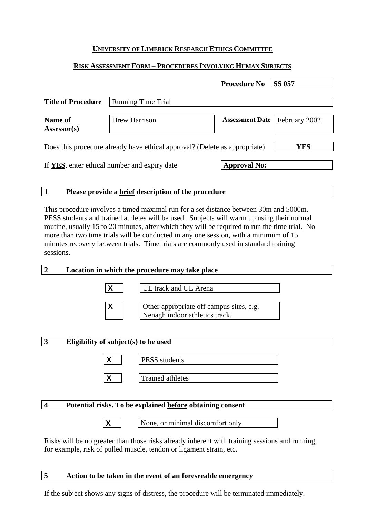### **UNIVERSITY OF LIMERICK RESEARCH ETHICS COMMITTEE**

#### **RISK ASSESSMENT FORM – PROCEDURES INVOLVING HUMAN SUBJECTS**

|                                                                            |                           | <b>Procedure No</b>    | <b>SS 057</b> |
|----------------------------------------------------------------------------|---------------------------|------------------------|---------------|
| <b>Title of Procedure</b>                                                  | <b>Running Time Trial</b> |                        |               |
| Name of<br>$Assessor(s)$                                                   | Drew Harrison             | <b>Assessment Date</b> | February 2002 |
| Does this procedure already have ethical approval? (Delete as appropriate) |                           |                        | YES           |
| If YES, enter ethical number and expiry date                               |                           | <b>Approval No:</b>    |               |

#### **1 Please provide a brief description of the procedure**

This procedure involves a timed maximal run for a set distance between 30m and 5000m. PESS students and trained athletes will be used. Subjects will warm up using their normal routine, usually 15 to 20 minutes, after which they will be required to run the time trial. No more than two time trials will be conducted in any one session, with a minimum of 15 minutes recovery between trials. Time trials are commonly used in standard training sessions.

### **2 Location in which the procedure may take place**



**X** UL track and UL Arena



**X** Other appropriate off campus sites, e.g. Nenagh indoor athletics track.

### **3 Eligibility of subject(s) to be used**

| PESS students    |
|------------------|
| Trained athletes |

### **4 Potential risks. To be explained before obtaining consent**



**X** None, or minimal discomfort only

Risks will be no greater than those risks already inherent with training sessions and running, for example, risk of pulled muscle, tendon or ligament strain, etc.

#### **5 Action to be taken in the event of an foreseeable emergency**

If the subject shows any signs of distress, the procedure will be terminated immediately.